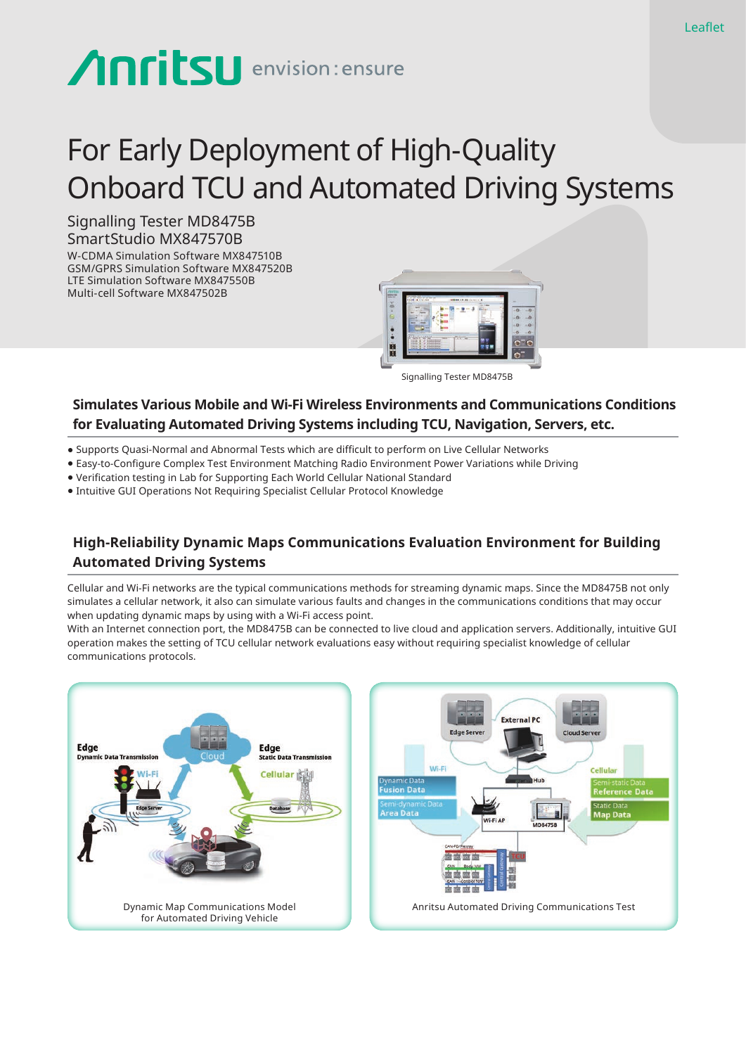# **Anritsu** envision: ensure

# For Early Deployment of High-Quality Onboard TCU and Automated Driving Systems

Signalling Tester MD8475B SmartStudio MX847570B W-CDMA Simulation Software MX847510B GSM/GPRS Simulation Software MX847520B LTE Simulation Software MX847550B Multi-cell Software MX847502B



Signalling Tester MD8475B

#### **Simulates Various Mobile and Wi-Fi Wireless Environments and Communications Conditions for Evaluating Automated Driving Systems including TCU, Navigation, Servers, etc.**

- Supports Quasi-Normal and Abnormal Tests which are difficult to perform on Live Cellular Networks
- Easy-to-Configure Complex Test Environment Matching Radio Environment Power Variations while Driving
- Verification testing in Lab for Supporting Each World Cellular National Standard
- Intuitive GUI Operations Not Requiring Specialist Cellular Protocol Knowledge

## **High-Reliability Dynamic Maps Communications Evaluation Environment for Building Automated Driving Systems**

Cellular and Wi-Fi networks are the typical communications methods for streaming dynamic maps. Since the MD8475B not only simulates a cellular network, it also can simulate various faults and changes in the communications conditions that may occur when updating dynamic maps by using with a Wi-Fi access point.

With an Internet connection port, the MD8475B can be connected to live cloud and application servers. Additionally, intuitive GUI operation makes the setting of TCU cellular network evaluations easy without requiring specialist knowledge of cellular communications protocols.